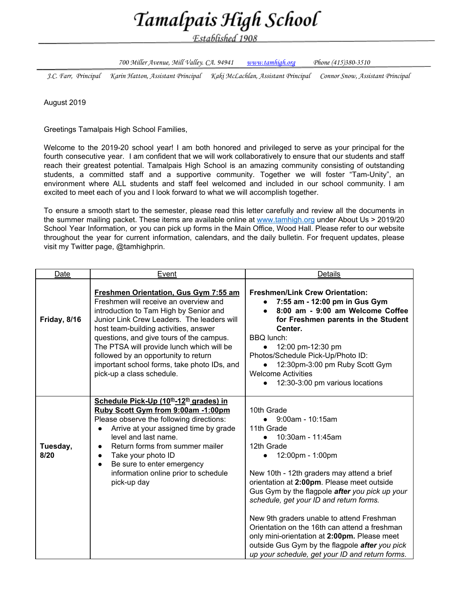## Tamalpais High School

Established 1908

700 Miller Avenue, Mill Valley. CA. 94941 [www.tamhigh.org](http://www.tamhigh.org/) Phone (415)380-3510

J.C. Farr, Principal Karin Hatton, Assistant Principal Kaki McLachlan, Assistant Principal Connor Snow, Assistant Principal

August 2019

Greetings Tamalpais High School Families,

Welcome to the 2019-20 school year! I am both honored and privileged to serve as your principal for the fourth consecutive year. I am confident that we will work collaboratively to ensure that our students and staff reach their greatest potential. Tamalpais High School is an amazing community consisting of outstanding students, a committed staff and a supportive community. Together we will foster "Tam-Unity", an environment where ALL students and staff feel welcomed and included in our school community. I am excited to meet each of you and I look forward to what we will accomplish together.

To ensure a smooth start to the semester, please read this letter carefully and review all the documents in the summer mailing packet. These items are available online at [www.tamhigh.org](https://www.tamdistrict.org/tamalpais) under About Us > 2019/20 School Year Information, or you can pick up forms in the Main Office, Wood Hall. Please refer to our website throughout the year for current information, calendars, and the daily bulletin. For frequent updates, please visit my Twitter page, @tamhighprin.

| Date             | Event                                                                                                                                                                                                                                                                                                                                                                                                                               | Details                                                                                                                                                                                                                                                                                                                                                                                                                                                                                                                                                                      |
|------------------|-------------------------------------------------------------------------------------------------------------------------------------------------------------------------------------------------------------------------------------------------------------------------------------------------------------------------------------------------------------------------------------------------------------------------------------|------------------------------------------------------------------------------------------------------------------------------------------------------------------------------------------------------------------------------------------------------------------------------------------------------------------------------------------------------------------------------------------------------------------------------------------------------------------------------------------------------------------------------------------------------------------------------|
| Friday, 8/16     | <b>Freshmen Orientation, Gus Gym 7:55 am</b><br>Freshmen will receive an overview and<br>introduction to Tam High by Senior and<br>Junior Link Crew Leaders. The leaders will<br>host team-building activities, answer<br>questions, and give tours of the campus.<br>The PTSA will provide lunch which will be<br>followed by an opportunity to return<br>important school forms, take photo IDs, and<br>pick-up a class schedule. | <b>Freshmen/Link Crew Orientation:</b><br>7:55 am - 12:00 pm in Gus Gym<br>$\bullet$<br>8:00 am - 9:00 am Welcome Coffee<br>for Freshmen parents in the Student<br>Center.<br><b>BBQ</b> lunch:<br>12:00 pm-12:30 pm<br>Photos/Schedule Pick-Up/Photo ID:<br>12:30pm-3:00 pm Ruby Scott Gym<br><b>Welcome Activities</b><br>12:30-3:00 pm various locations<br>$\bullet$                                                                                                                                                                                                     |
| Tuesday,<br>8/20 | Schedule Pick-Up (10 <sup>th</sup> -12 <sup>th</sup> grades) in<br>Ruby Scott Gym from 9:00am -1:00pm<br>Please observe the following directions:<br>Arrive at your assigned time by grade<br>level and last name.<br>Return forms from summer mailer<br>Take your photo ID<br>Be sure to enter emergency<br>$\bullet$<br>information online prior to schedule<br>pick-up day                                                       | 10th Grade<br>$9:00$ am - 10:15am<br>$\bullet$<br>11th Grade<br>10:30am - 11:45am<br>$\bullet$<br>12th Grade<br>12:00pm - 1:00pm<br>New 10th - 12th graders may attend a brief<br>orientation at 2:00pm. Please meet outside<br>Gus Gym by the flagpole after you pick up your<br>schedule, get your ID and return forms.<br>New 9th graders unable to attend Freshman<br>Orientation on the 16th can attend a freshman<br>only mini-orientation at 2:00pm. Please meet<br>outside Gus Gym by the flagpole after you pick<br>up your schedule, get your ID and return forms. |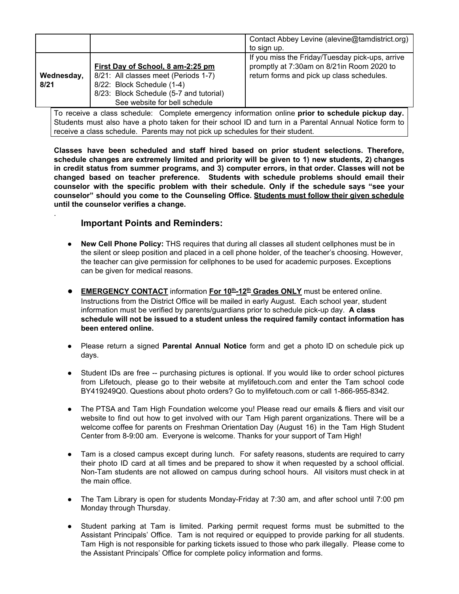| If you miss the Friday/Tuesday pick-ups, arrive<br>promptly at 7:30am on 8/21in Room 2020 to<br>First Day of School, 8 am-2:25 pm<br>return forms and pick up class schedules.<br>8/21: All classes meet (Periods 1-7)<br>Wednesday,<br>8/22: Block Schedule (1-4)<br>8/21<br>8/23: Block Schedule (5-7 and tutorial)<br>See website for bell schedule |  | Contact Abbey Levine (alevine@tamdistrict.org)<br>to sign up. |
|--------------------------------------------------------------------------------------------------------------------------------------------------------------------------------------------------------------------------------------------------------------------------------------------------------------------------------------------------------|--|---------------------------------------------------------------|
|                                                                                                                                                                                                                                                                                                                                                        |  |                                                               |

To receive a class schedule: Complete emergency information online **prior to schedule pickup day.** Students must also have a photo taken for their school ID and turn in a Parental Annual Notice form to receive a class schedule. Parents may not pick up schedules for their student.

**Classes have been scheduled and staff hired based on prior student selections. Therefore, schedule changes are extremely limited and priority will be given to 1) new students, 2) changes in credit status from summer programs, and 3) computer errors, in that order. Classes will not be changed based on teacher preference. Students with schedule problems should email their counselor with the specific problem with their schedule. Only if the schedule says "see your counselor" should you come to the Counseling Office. Students must follow their given schedule until the counselor verifies a change.**

## **Important Points and Reminders:**

.

- **● New Cell Phone Policy:** THS requires that during all classes all student cellphones must be in the silent or sleep position and placed in a cell phone holder, of the teacher's choosing. However, the teacher can give permission for cellphones to be used for academic purposes. Exceptions can be given for medical reasons.
- **EMERGENCY CONTACT** information **For 10<sup>th</sup>-12<sup>th</sup> Grades ONLY** must be entered online. Instructions from the District Office will be mailed in early August. Each school year, student information must be verified by parents/guardians prior to schedule pick-up day. **A class schedule will not be issued to a student unless the required family contact information has been entered online.**
- Please return a signed **Parental Annual Notice** form and get a photo ID on schedule pick up days.
- Student IDs are free -- purchasing pictures is optional. If you would like to order school pictures from Lifetouch, please go to their website at mylifetouch.com and enter the Tam school code BY419249Q0. Questions about photo orders? Go to mylifetouch.com or call 1-866-955-8342.
- The PTSA and Tam High Foundation welcome you! Please read our emails & fliers and visit our website to find out how to get involved with our Tam High parent organizations. There will be a welcome coffee for parents on Freshman Orientation Day (August 16) in the Tam High Student Center from 8-9:00 am. Everyone is welcome. Thanks for your support of Tam High!
- Tam is a closed campus except during lunch. For safety reasons, students are required to carry their photo ID card at all times and be prepared to show it when requested by a school official. Non-Tam students are not allowed on campus during school hours. All visitors must check in at the main office.
- The Tam Library is open for students Monday-Friday at 7:30 am, and after school until 7:00 pm Monday through Thursday.
- Student parking at Tam is limited. Parking permit request forms must be submitted to the Assistant Principals' Office. Tam is not required or equipped to provide parking for all students. Tam High is not responsible for parking tickets issued to those who park illegally. Please come to the Assistant Principals' Office for complete policy information and forms.